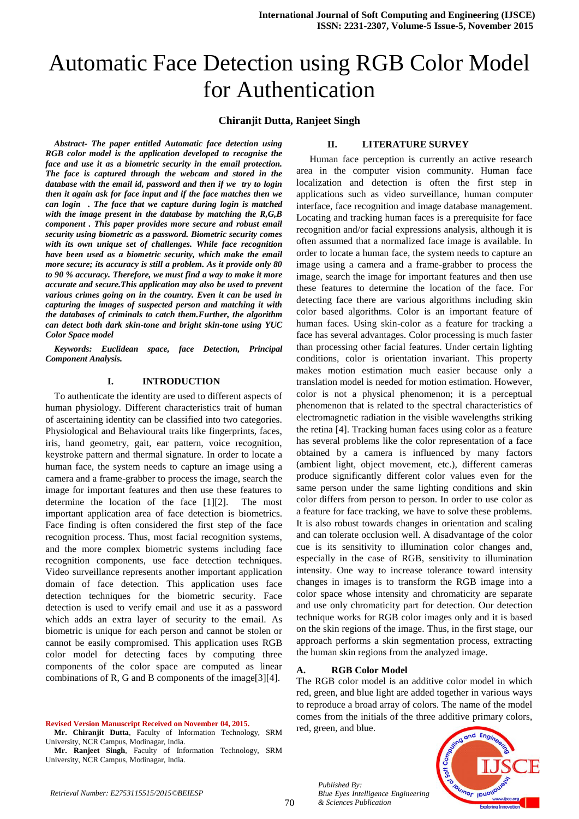# Automatic Face Detection using RGB Color Model for Authentication

## **Chiranjit Dutta, Ranjeet Singh**

*Abstract- The paper entitled Automatic face detection using RGB color model is the application developed to recognise the face and use it as a biometric security in the email protection. The face is captured through the webcam and stored in the database with the email id, password and then if we try to login then it again ask for face input and if the face matches then we can login . The face that we capture during login is matched with the image present in the database by matching the R,G,B component . This paper provides more secure and robust email security using biometric as a password. Biometric security comes with its own unique set of challenges. While face recognition have been used as a biometric security, which make the email more secure; its accuracy is still a problem. As it provide only 80 to 90 % accuracy. Therefore, we must find a way to make it more accurate and secure.This application may also be used to prevent various crimes going on in the country. Even it can be used in capturing the images of suspected person and matching it with the databases of criminals to catch them.Further, the algorithm can detect both dark skin-tone and bright skin-tone using YUC Color Space model*

*Keywords: Euclidean space, face Detection, Principal Component Analysis.*

## **I. INTRODUCTION**

To authenticate the identity are used to different aspects of human physiology. Different characteristics trait of human of ascertaining identity can be classified into two categories. Physiological and Behavioural traits like fingerprints, faces, iris, hand geometry, gait, ear pattern, voice recognition, keystroke pattern and thermal signature. In order to locate a human face, the system needs to capture an image using a camera and a frame-grabber to process the image, search the image for important features and then use these features to determine the location of the face [1][2]. The most important application area of face detection is biometrics. Face finding is often considered the first step of the face recognition process. Thus, most facial recognition systems, and the more complex biometric systems including face recognition components, use face detection techniques. Video surveillance represents another important application domain of face detection. This application uses face detection techniques for the biometric security. Face detection is used to verify email and use it as a password which adds an extra layer of security to the email. As biometric is unique for each person and cannot be stolen or cannot be easily compromised. This application uses RGB color model for detecting faces by computing three components of the color space are computed as linear combinations of R, G and B components of the image[3][4].

#### **Revised Version Manuscript Received on November 04, 2015.**

**Mr. Chiranjit Dutta**, Faculty of Information Technology, SRM University, NCR Campus, Modinagar, India.

**Mr. Ranjeet Singh**, Faculty of Information Technology, SRM University, NCR Campus, Modinagar, India.

#### **II. LITERATURE SURVEY**

Human face perception is currently an active research area in the computer vision community. Human face localization and detection is often the first step in applications such as video surveillance, human computer interface, face recognition and image database management. Locating and tracking human faces is a prerequisite for face recognition and/or facial expressions analysis, although it is often assumed that a normalized face image is available. In order to locate a human face, the system needs to capture an image using a camera and a frame-grabber to process the image, search the image for important features and then use these features to determine the location of the face. For detecting face there are various algorithms including skin color based algorithms. Color is an important feature of human faces. Using skin-color as a feature for tracking a face has several advantages. Color processing is much faster than processing other facial features. Under certain lighting conditions, color is orientation invariant. This property makes motion estimation much easier because only a translation model is needed for motion estimation. However, color is not a physical phenomenon; it is a perceptual phenomenon that is related to the spectral characteristics of electromagnetic radiation in the visible wavelengths striking the retina [4]. Tracking human faces using color as a feature has several problems like the color representation of a face obtained by a camera is influenced by many factors (ambient light, object movement, etc.), different cameras produce significantly different color values even for the same person under the same lighting conditions and skin color differs from person to person. In order to use color as a feature for face tracking, we have to solve these problems. It is also robust towards changes in orientation and scaling and can tolerate occlusion well. A disadvantage of the color cue is its sensitivity to illumination color changes and, especially in the case of RGB, sensitivity to illumination intensity. One way to increase tolerance toward intensity changes in images is to transform the RGB image into a color space whose intensity and chromaticity are separate and use only chromaticity part for detection. Our detection technique works for RGB color images only and it is based on the skin regions of the image. Thus, in the first stage, our approach performs a skin segmentation process, extracting the human skin regions from the analyzed image.

#### **A. RGB Color Model**

*Published By:*

*& Sciences Publication* 

*Blue Eyes Intelligence Engineering* 

The RGB color model is an additive color model in which red, green, and blue light are added together in various ways to reproduce a broad array of colors. The name of the model comes from the initials of the three additive primary colors, red, green, and blue.

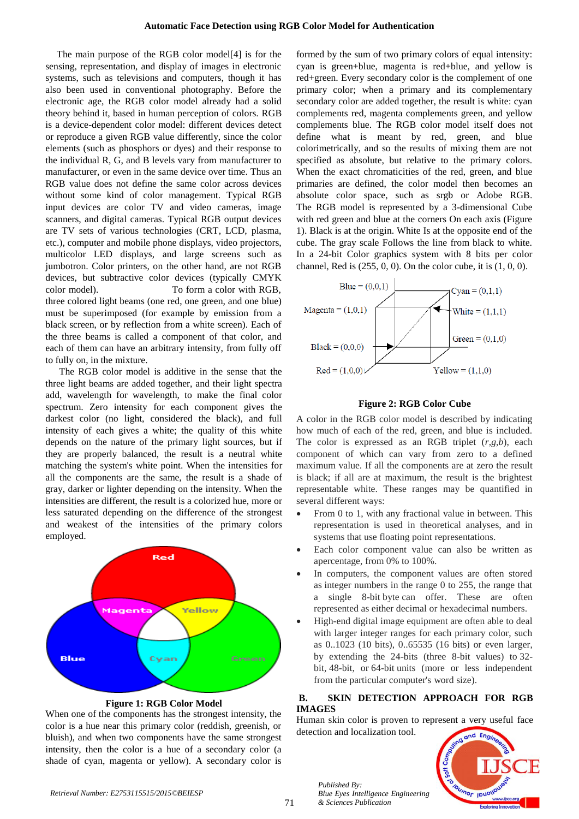The main purpose of the RGB color model[4] is for the sensing, representation, and display of images in electronic systems, such as televisions and computers, though it has also been used in conventional photography. Before the electronic age, the RGB color model already had a solid theory behind it, based in human perception of colors. RGB is a device-dependent color model: different devices detect or reproduce a given RGB value differently, since the color elements (such as phosphors or dyes) and their response to the individual R, G, and B levels vary from manufacturer to manufacturer, or even in the same device over time. Thus an RGB value does not define the same color across devices without some kind of color management. Typical RGB input devices are color TV and video cameras, image scanners, and digital cameras. Typical RGB output devices are TV sets of various technologies (CRT, LCD, plasma, etc.), computer and mobile phone displays, video projectors, multicolor LED displays, and large screens such as jumbotron. Color printers, on the other hand, are not RGB devices, but subtractive color devices (typically CMYK color model). To form a color with RGB, three colored light beams (one red, one green, and one blue) must be superimposed (for example by emission from a black screen, or by reflection from a white screen). Each of the three beams is called a component of that color, and each of them can have an arbitrary intensity, from fully off to fully on, in the mixture.

 The RGB color model is additive in the sense that the three light beams are added together, and their light spectra add, wavelength for wavelength, to make the final color spectrum. Zero intensity for each component gives the darkest color (no light, considered the black), and full intensity of each gives a white; the quality of this white depends on the nature of the primary light sources, but if they are properly balanced, the result is a neutral white matching the system's white point. When the intensities for all the components are the same, the result is a shade of gray, darker or lighter depending on the intensity. When the intensities are different, the result is a colorized hue, more or less saturated depending on the difference of the strongest and weakest of the intensities of the primary colors employed.



**Figure 1: RGB Color Model**

When one of the components has the strongest intensity, the color is a hue near this primary color (reddish, greenish, or bluish), and when two components have the same strongest intensity, then the color is a hue of a secondary color (a shade of cyan, magenta or yellow). A secondary color is

formed by the sum of two primary colors of equal intensity: cyan is green+blue, magenta is red+blue, and yellow is red+green. Every secondary color is the complement of one primary color; when a primary and its complementary secondary color are added together, the result is white: cyan complements red, magenta complements green, and yellow complements blue. The RGB color model itself does not define what is meant by red, green, and blue colorimetrically, and so the results of mixing them are not specified as absolute, but relative to the primary colors. When the exact chromaticities of the red, green, and blue primaries are defined, the color model then becomes an absolute color space, such as srgb or Adobe RGB. The RGB model is represented by a 3-dimensional Cube with red green and blue at the corners On each axis (Figure 1). Black is at the origin. White Is at the opposite end of the cube. The gray scale Follows the line from black to white. In a 24-bit Color graphics system with 8 bits per color channel, Red is (255, 0, 0). On the color cube, it is (1, 0, 0).



### **Figure 2: RGB Color Cube**

A color in the RGB color model is described by indicating how much of each of the red, green, and blue is included. The color is expressed as an RGB triplet (*r*,*g*,*b*), each component of which can vary from zero to a defined maximum value. If all the components are at zero the result is black; if all are at maximum, the result is the brightest representable white. These ranges may be quantified in several different ways:

- From 0 to 1, with any fractional value in between. This representation is used in theoretical analyses, and in systems that use floating point representations.
- Each color component value can also be written as apercentage, from 0% to 100%.
- In computers, the component values are often stored as integer numbers in the range 0 to 255, the range that a single 8-bit byte can offer. These are often represented as either decimal or hexadecimal numbers.
- High-end digital image equipment are often able to deal with larger integer ranges for each primary color, such as 0..1023 (10 bits), 0..65535 (16 bits) or even larger, by extending the 24-bits (three 8-bit values) to 32 bit, 48-bit, or 64-bit units (more or less independent from the particular computer's word size).

## **B. SKIN DETECTION APPROACH FOR RGB IMAGES**

Human skin color is proven to represent a very useful face detection and localization tool.



*Published By:*

*& Sciences Publication* 

*Blue Eyes Intelligence Engineering*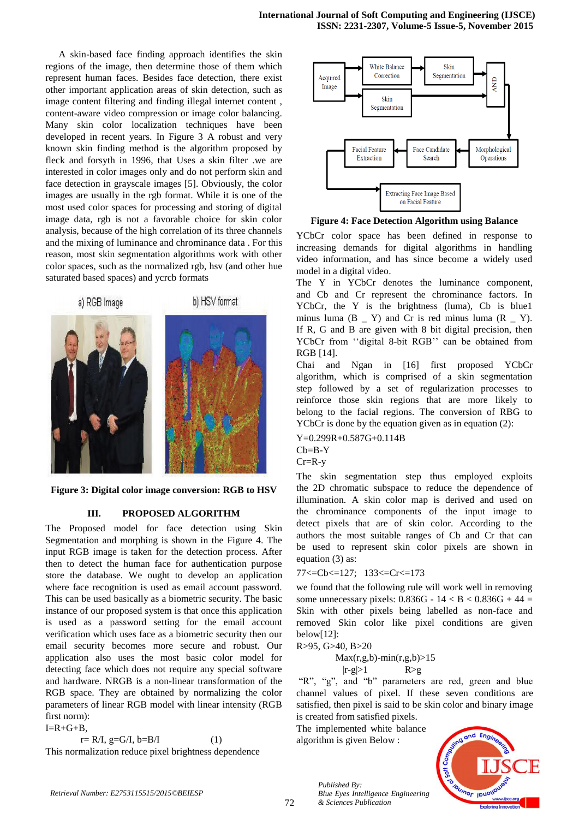A skin-based face finding approach identifies the skin regions of the image, then determine those of them which represent human faces. Besides face detection, there exist other important application areas of skin detection, such as image content filtering and finding illegal internet content , content-aware video compression or image color balancing. Many skin color localization techniques have been developed in recent years. In Figure 3 A robust and very known skin finding method is the algorithm proposed by fleck and forsyth in 1996, that Uses a skin filter .we are interested in color images only and do not perform skin and face detection in grayscale images [5]. Obviously, the color images are usually in the rgb format. While it is one of the most used color spaces for processing and storing of digital image data, rgb is not a favorable choice for skin color analysis, because of the high correlation of its three channels and the mixing of luminance and chrominance data . For this reason, most skin segmentation algorithms work with other color spaces, such as the normalized rgb, hsv (and other hue saturated based spaces) and ycrcb formats



**Figure 3: Digital color image conversion: RGB to HSV**

### **III. PROPOSED ALGORITHM**

The Proposed model for face detection using Skin Segmentation and morphing is shown in the Figure 4. The input RGB image is taken for the detection process. After then to detect the human face for authentication purpose store the database. We ought to develop an application where face recognition is used as email account password. This can be used basically as a biometric security. The basic instance of our proposed system is that once this application is used as a password setting for the email account verification which uses face as a biometric security then our email security becomes more secure and robust. Our application also uses the most basic color model for detecting face which does not require any special software and hardware. NRGB is a non-linear transformation of the RGB space. They are obtained by normalizing the color parameters of linear RGB model with linear intensity (RGB first norm):

 $I=R+G+B$ ,

 $r= R/I$ ,  $g=G/I$ ,  $b=B/I$  (1)

This normalization reduce pixel brightness dependence



**Figure 4: Face Detection Algorithm using Balance**

YCbCr color space has been defined in response to increasing demands for digital algorithms in handling video information, and has since become a widely used model in a digital video.

The Y in YCbCr denotes the luminance component, and Cb and Cr represent the chrominance factors. In YCbCr, the Y is the brightness (luma), Cb is blue1 minus luma  $(B - Y)$  and Cr is red minus luma  $(R - Y)$ . If R, G and B are given with 8 bit digital precision, then YCbCr from ''digital 8-bit RGB'' can be obtained from RGB [14].

Chai and Ngan in [16] first proposed YCbCr algorithm, which is comprised of a skin segmentation step followed by a set of regularization processes to reinforce those skin regions that are more likely to belong to the facial regions. The conversion of RBG to YCbCr is done by the equation given as in equation (2):

Y=0.299R+0.587G+0.114B

Cb=B-Y

Cr=R-y

The skin segmentation step thus employed exploits the 2D chromatic subspace to reduce the dependence of illumination. A skin color map is derived and used on the chrominance components of the input image to detect pixels that are of skin color. According to the authors the most suitable ranges of Cb and Cr that can be used to represent skin color pixels are shown in equation (3) as:

77<=Cb<=127; 133<=Cr<=173

we found that the following rule will work well in removing some unnecessary pixels:  $0.836G - 14 < B < 0.836G + 44 =$ Skin with other pixels being labelled as non-face and removed Skin color like pixel conditions are given below[12]:

R>95, G>40, B>20

*Published By:*

*& Sciences Publication* 

 $Max(r,g,b)-min(r,g,b)$ >15

 $|r-g|>1$  R>g

"R", "g", and "b" parameters are red, green and blue channel values of pixel. If these seven conditions are satisfied, then pixel is said to be skin color and binary image is created from satisfied pixels.

The implemented white balance algorithm is given Below :

*Blue Eyes Intelligence Engineering*